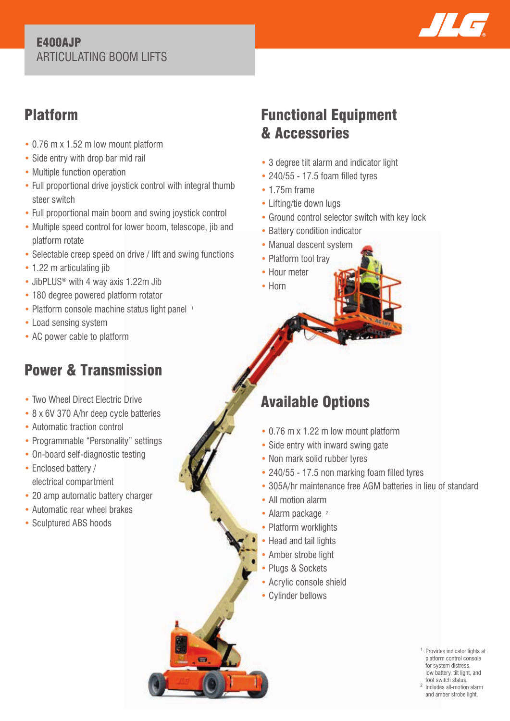#### E400AJP ARTICULATING BOOM LIFTS



### Platform

- 0.76 m x 1.52 m low mount platform
- Side entry with drop bar mid rail
- Multiple function operation
- Full proportional drive joystick control with integral thumb steer switch
- Full proportional main boom and swing joystick control
- Multiple speed control for lower boom, telescope, jib and platform rotate
- Selectable creep speed on drive / lift and swing functions
- 1.22 m articulating jib
- JibPLUS<sup>®</sup> with 4 way axis 1.22m Jib
- 180 degree powered platform rotator
- Platform console machine status light panel 1
- Load sensing system
- AC power cable to platform

## Power & Transmission

- Two Wheel Direct Electric Drive
- 8 x 6V 370 A/hr deep cycle batteries
- Automatic traction control
- Programmable "Personality" settings
- On-board self-diagnostic testing
- Enclosed battery / electrical compartment
- 20 amp automatic battery charger
- Automatic rear wheel brakes
- Sculptured ABS hoods

## Functional Equipment & Accessories

- 3 degree tilt alarm and indicator light
- 240/55 17.5 foam filled tyres
- 1.75m frame
- Lifting/tie down lugs
- Ground control selector switch with key lock
- Battery condition indicator
- Manual descent system
- Platform tool trav
- Hour meter
- Horn

# Available Options

- 0.76 m x 1.22 m low mount platform
- Side entry with inward swing gate
- Non mark solid rubber tyres
- 240/55 17.5 non marking foam filled tyres
- 305A/hr maintenance free AGM batteries in lieu of standard
- All motion alarm
- Alarm package <sup>2</sup>
- Platform worklights
- Head and tail lights
- Amber strobe light
- Plugs & Sockets
- Acrylic console shield
- Cylinder bellows

1 Provides indicator lights at platform control console for system distress, low battery, tilt light, and foot switch status.

2 Includes all-motion alarm and amber strobe light.